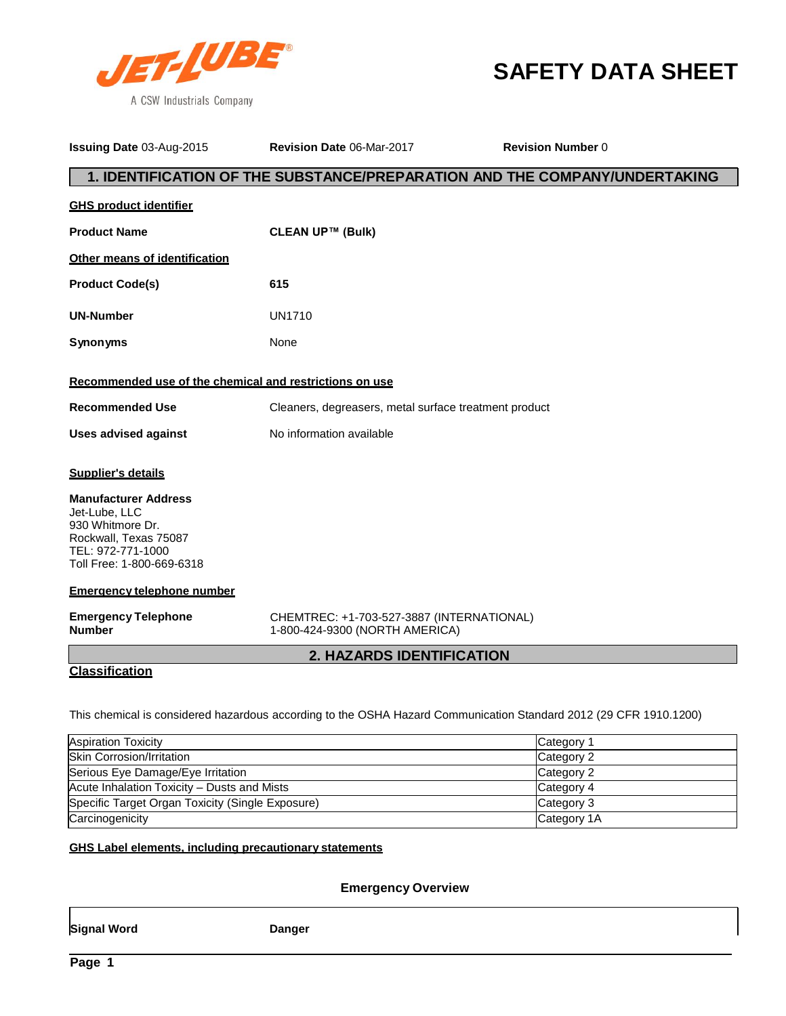

# **SAFETY DATA SHEET**

| Issuing Date 03-Aug-2015                                                                                                                    | <b>Revision Number 0</b><br>Revision Date 06-Mar-2017                       |                                                                                                                   |  |
|---------------------------------------------------------------------------------------------------------------------------------------------|-----------------------------------------------------------------------------|-------------------------------------------------------------------------------------------------------------------|--|
|                                                                                                                                             |                                                                             | 1. IDENTIFICATION OF THE SUBSTANCE/PREPARATION AND THE COMPANY/UNDERTAKING                                        |  |
| <b>GHS product identifier</b>                                                                                                               |                                                                             |                                                                                                                   |  |
| <b>Product Name</b>                                                                                                                         | <b>CLEAN UP™ (Bulk)</b>                                                     |                                                                                                                   |  |
| Other means of identification                                                                                                               |                                                                             |                                                                                                                   |  |
| <b>Product Code(s)</b>                                                                                                                      | 615                                                                         |                                                                                                                   |  |
| <b>UN-Number</b>                                                                                                                            | UN1710                                                                      |                                                                                                                   |  |
| <b>Synonyms</b>                                                                                                                             | None                                                                        |                                                                                                                   |  |
| Recommended use of the chemical and restrictions on use                                                                                     |                                                                             |                                                                                                                   |  |
| <b>Recommended Use</b>                                                                                                                      | Cleaners, degreasers, metal surface treatment product                       |                                                                                                                   |  |
| <b>Uses advised against</b>                                                                                                                 | No information available                                                    |                                                                                                                   |  |
| <b>Supplier's details</b>                                                                                                                   |                                                                             |                                                                                                                   |  |
| <b>Manufacturer Address</b><br>Jet-Lube, LLC<br>930 Whitmore Dr.<br>Rockwall, Texas 75087<br>TEL: 972-771-1000<br>Toll Free: 1-800-669-6318 |                                                                             |                                                                                                                   |  |
| <b>Emergency telephone number</b>                                                                                                           |                                                                             |                                                                                                                   |  |
| <b>Emergency Telephone</b><br><b>Number</b>                                                                                                 | CHEMTREC: +1-703-527-3887 (INTERNATIONAL)<br>1-800-424-9300 (NORTH AMERICA) |                                                                                                                   |  |
|                                                                                                                                             | 2. HAZARDS IDENTIFICATION                                                   |                                                                                                                   |  |
| <b>Classification</b>                                                                                                                       |                                                                             |                                                                                                                   |  |
|                                                                                                                                             |                                                                             | This chemical is considered hazardous according to the OSHA Hazard Communication Standard 2012 (29 CFR 1910.1200) |  |
| <b>Aspiration Toxicity</b>                                                                                                                  |                                                                             | Category 1                                                                                                        |  |
| <b>Skin Corrosion/Irritation</b>                                                                                                            |                                                                             | Category 2                                                                                                        |  |

| ISkin Corrosion/Irritation                       | Category 2  |
|--------------------------------------------------|-------------|
| Serious Eye Damage/Eye Irritation                | Category 2  |
| Acute Inhalation Toxicity – Dusts and Mists      | Category 4  |
| Specific Target Organ Toxicity (Single Exposure) | Category 3  |
| Carcinogenicity                                  | Category 1A |

## **GHS Label elements, including precautionary statements**

**Emergency Overview**

**Signal Word Danger**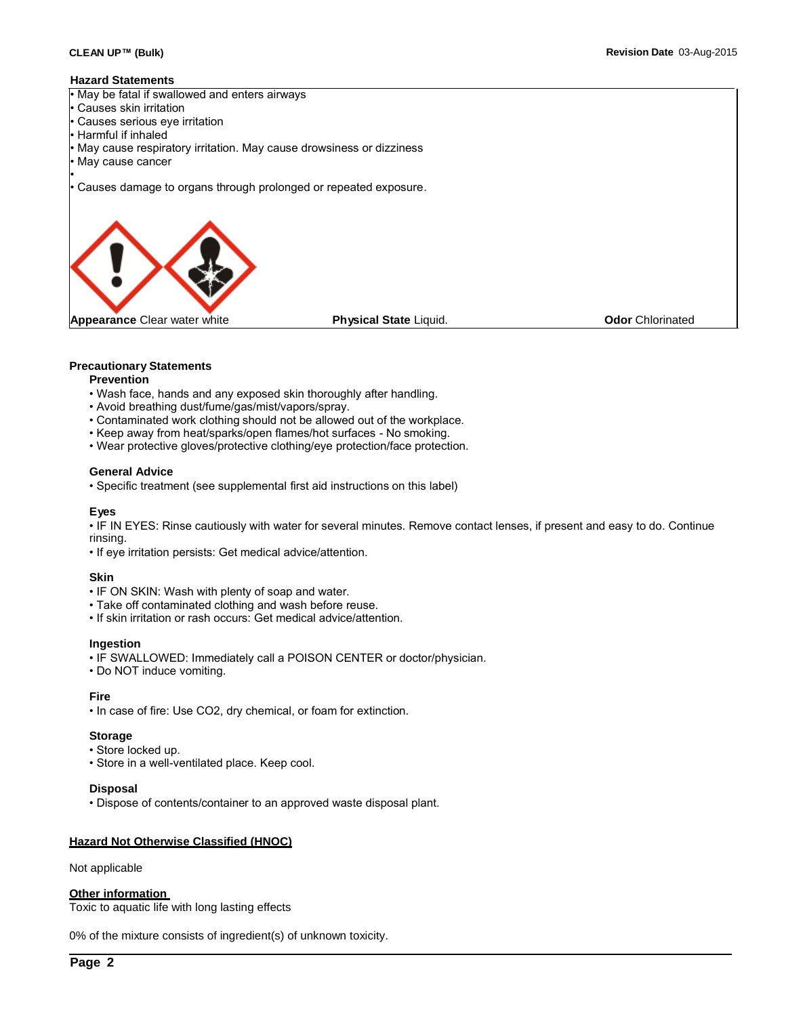#### **Hazard Statements**

• May be fatal if swallowed and enters airways • Causes skin irritation Causes serious eye irritation • Harmful if inhaled • May cause respiratory irritation. May cause drowsiness or dizziness May cause cancer • • Causes damage to organs through prolonged or repeated exposure. **Appearance** Clear water white **Physical State** Liquid. **Odor** Chlorinated

#### **Precautionary Statements**

#### **Prevention**

- Wash face, hands and any exposed skin thoroughly after handling.
- Avoid breathing dust/fume/gas/mist/vapors/spray.
- Contaminated work clothing should not be allowed out of the workplace.
- Keep away from heat/sparks/open flames/hot surfaces No smoking.
- Wear protective gloves/protective clothing/eye protection/face protection.

#### **General Advice**

• Specific treatment (see supplemental first aid instructions on this label)

#### **Eyes**

• IF IN EYES: Rinse cautiously with water for several minutes. Remove contact lenses, if present and easy to do. Continue rinsing.

• If eye irritation persists: Get medical advice/attention.

#### **Skin**

- IF ON SKIN: Wash with plenty of soap and water.
- Take off contaminated clothing and wash before reuse.
- If skin irritation or rash occurs: Get medical advice/attention.

#### **Ingestion**

- IF SWALLOWED: Immediately call a POISON CENTER or doctor/physician.
- Do NOT induce vomiting.

#### **Fire**

• In case of fire: Use CO2, dry chemical, or foam for extinction.

#### **Storage**

- Store locked up.
- Store in a well-ventilated place. Keep cool.

#### **Disposal**

• Dispose of contents/container to an approved waste disposal plant.

#### **Hazard Not Otherwise Classified (HNOC)**

#### Not applicable

#### **Other information**

Toxic to aquatic life with long lasting effects

0% of the mixture consists of ingredient(s) of unknown toxicity.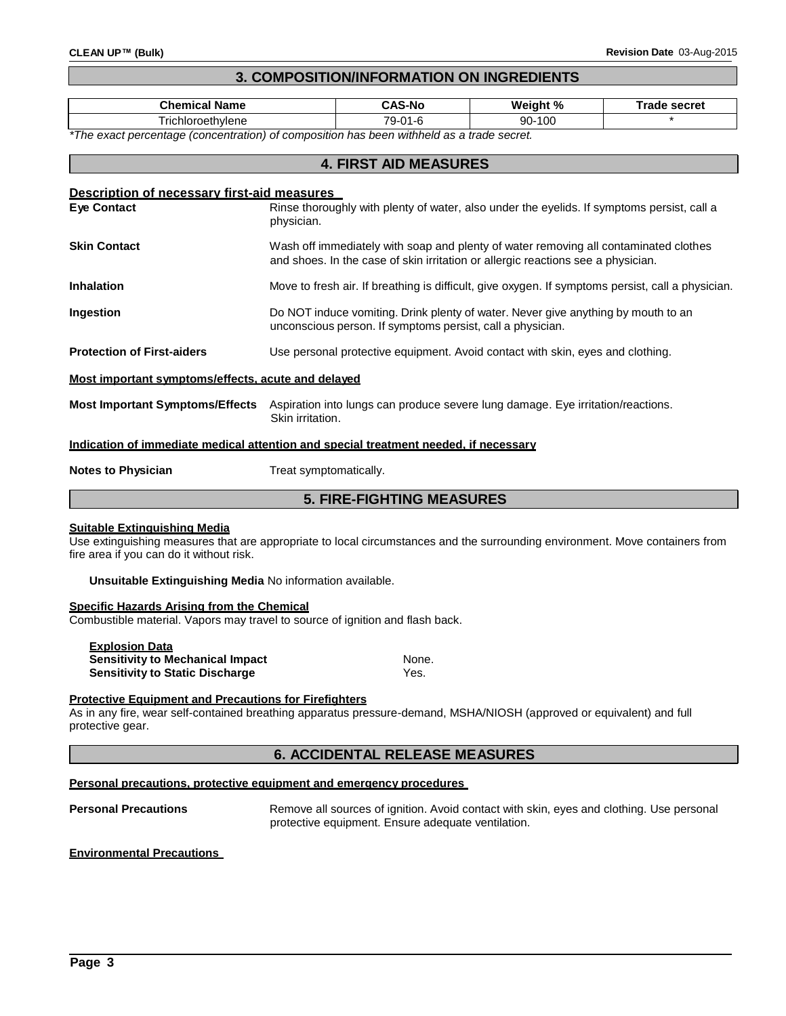### **3. COMPOSITION/INFORMATION ON INGREDIENTS**

| Name<br>hemica<br>.     | <b>S-No</b><br>. .                                       | $\cdot$ %<br>Weigh | secret<br>--- |
|-------------------------|----------------------------------------------------------|--------------------|---------------|
| วroethvlene<br>richlor. | - -<br>$^{\circ}$<br>. .<br>ฯ-เ<br>. .<br>$\cdot$<br>. . | 100<br>90-         |               |

*\*The exact percentage (concentration) of composition has been withheld as a trade secret.*

| <b>4. FIRST AID MEASURES</b>                                                         |                                                                                                                                                                          |  |  |
|--------------------------------------------------------------------------------------|--------------------------------------------------------------------------------------------------------------------------------------------------------------------------|--|--|
| Description of necessary first-aid measures<br><b>Eye Contact</b>                    | Rinse thoroughly with plenty of water, also under the eyelids. If symptoms persist, call a<br>physician.                                                                 |  |  |
| <b>Skin Contact</b>                                                                  | Wash off immediately with soap and plenty of water removing all contaminated clothes<br>and shoes. In the case of skin irritation or allergic reactions see a physician. |  |  |
| <b>Inhalation</b>                                                                    | Move to fresh air. If breathing is difficult, give oxygen. If symptoms persist, call a physician.                                                                        |  |  |
| Ingestion                                                                            | Do NOT induce vomiting. Drink plenty of water. Never give anything by mouth to an<br>unconscious person. If symptoms persist, call a physician.                          |  |  |
| <b>Protection of First-aiders</b>                                                    | Use personal protective equipment. Avoid contact with skin, eyes and clothing.                                                                                           |  |  |
| Most important symptoms/effects, acute and delayed                                   |                                                                                                                                                                          |  |  |
| <b>Most Important Symptoms/Effects</b>                                               | Aspiration into lungs can produce severe lung damage. Eye irritation/reactions.<br>Skin irritation.                                                                      |  |  |
| Indication of immediate medical attention and special treatment needed. if necessary |                                                                                                                                                                          |  |  |
| <b>Notes to Physician</b>                                                            | Treat symptomatically.                                                                                                                                                   |  |  |
| <b>5. FIRE-FIGHTING MEASURES</b>                                                     |                                                                                                                                                                          |  |  |
|                                                                                      |                                                                                                                                                                          |  |  |

#### **Suitable Extinguishing Media**

Use extinguishing measures that are appropriate to local circumstances and the surrounding environment. Move containers from fire area if you can do it without risk.

**Unsuitable Extinguishing Media** No information available.

#### **Specific Hazards Arising from the Chemical**

Combustible material. Vapors may travel to source of ignition and flash back.

| <b>Explosion Data</b>                   |       |
|-----------------------------------------|-------|
| <b>Sensitivity to Mechanical Impact</b> | None. |
| <b>Sensitivity to Static Discharge</b>  | Yes.  |

#### **Protective Equipment and Precautions for Firefighters**

As in any fire, wear self-contained breathing apparatus pressure-demand, MSHA/NIOSH (approved or equivalent) and full protective gear.

## **6. ACCIDENTAL RELEASE MEASURES**

#### **Personal precautions, protective equipment and emergency procedures**

**Personal Precautions** Remove all sources of ignition. Avoid contact with skin, eyes and clothing. Use personal protective equipment. Ensure adequate ventilation.

#### **Environmental Precautions**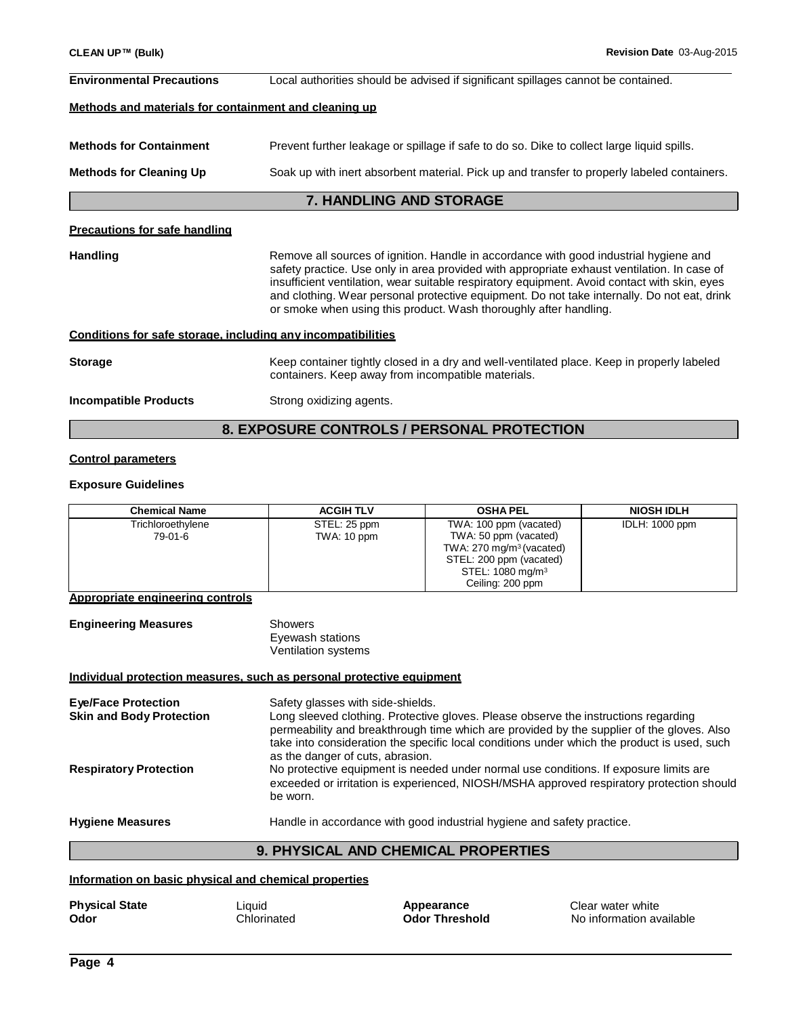| <b>Environmental Precautions</b>                             | Local authorities should be advised if significant spillages cannot be contained.                                                                                                                                                                                                                                                                                                                                                                        |  |
|--------------------------------------------------------------|----------------------------------------------------------------------------------------------------------------------------------------------------------------------------------------------------------------------------------------------------------------------------------------------------------------------------------------------------------------------------------------------------------------------------------------------------------|--|
| Methods and materials for containment and cleaning up        |                                                                                                                                                                                                                                                                                                                                                                                                                                                          |  |
| <b>Methods for Containment</b>                               | Prevent further leakage or spillage if safe to do so. Dike to collect large liquid spills.                                                                                                                                                                                                                                                                                                                                                               |  |
| <b>Methods for Cleaning Up</b>                               | Soak up with inert absorbent material. Pick up and transfer to properly labeled containers.                                                                                                                                                                                                                                                                                                                                                              |  |
|                                                              | <b>7. HANDLING AND STORAGE</b>                                                                                                                                                                                                                                                                                                                                                                                                                           |  |
| <b>Precautions for safe handling</b>                         |                                                                                                                                                                                                                                                                                                                                                                                                                                                          |  |
| <b>Handling</b>                                              | Remove all sources of ignition. Handle in accordance with good industrial hygiene and<br>safety practice. Use only in area provided with appropriate exhaust ventilation. In case of<br>insufficient ventilation, wear suitable respiratory equipment. Avoid contact with skin, eyes<br>and clothing. Wear personal protective equipment. Do not take internally. Do not eat, drink<br>or smoke when using this product. Wash thoroughly after handling. |  |
| Conditions for safe storage, including any incompatibilities |                                                                                                                                                                                                                                                                                                                                                                                                                                                          |  |
| <b>Storage</b>                                               | Keep container tightly closed in a dry and well-ventilated place. Keep in properly labeled<br>containers. Keep away from incompatible materials.                                                                                                                                                                                                                                                                                                         |  |
| <b>Incompatible Products</b>                                 | Strong oxidizing agents.                                                                                                                                                                                                                                                                                                                                                                                                                                 |  |

## **8. EXPOSURE CONTROLS / PERSONAL PROTECTION**

## **Control parameters**

#### **Exposure Guidelines**

| <b>Chemical Name</b>                                                  | <b>ACGIH TLV</b>                                                                    | <b>OSHA PEL</b>                                                                             | <b>NIOSH IDLH</b>                                                                        |
|-----------------------------------------------------------------------|-------------------------------------------------------------------------------------|---------------------------------------------------------------------------------------------|------------------------------------------------------------------------------------------|
| Trichloroethylene                                                     | STEL: 25 ppm                                                                        | TWA: 100 ppm (vacated)                                                                      | <b>IDLH: 1000 ppm</b>                                                                    |
| 79-01-6                                                               | TWA: 10 ppm                                                                         | TWA: 50 ppm (vacated)                                                                       |                                                                                          |
|                                                                       |                                                                                     | TWA: $270 \,\mathrm{mg/m^3}$ (vacated)                                                      |                                                                                          |
|                                                                       |                                                                                     | STEL: 200 ppm (vacated)                                                                     |                                                                                          |
|                                                                       |                                                                                     | STEL: 1080 mg/m <sup>3</sup>                                                                |                                                                                          |
|                                                                       |                                                                                     | Ceiling: 200 ppm                                                                            |                                                                                          |
| Appropriate engineering controls                                      |                                                                                     |                                                                                             |                                                                                          |
| <b>Engineering Measures</b>                                           | Showers                                                                             |                                                                                             |                                                                                          |
|                                                                       | Eyewash stations                                                                    |                                                                                             |                                                                                          |
|                                                                       | <b>Ventilation systems</b>                                                          |                                                                                             |                                                                                          |
|                                                                       |                                                                                     |                                                                                             |                                                                                          |
| Individual protection measures, such as personal protective equipment |                                                                                     |                                                                                             |                                                                                          |
| <b>Eye/Face Protection</b>                                            | Safety glasses with side-shields.                                                   |                                                                                             |                                                                                          |
| <b>Skin and Body Protection</b>                                       | Long sleeved clothing. Protective gloves. Please observe the instructions regarding |                                                                                             |                                                                                          |
|                                                                       |                                                                                     | permeability and breakthrough time which are provided by the supplier of the gloves. Also   |                                                                                          |
|                                                                       |                                                                                     | take into consideration the specific local conditions under which the product is used, such |                                                                                          |
|                                                                       | as the danger of cuts, abrasion.                                                    |                                                                                             |                                                                                          |
| <b>Respiratory Protection</b>                                         |                                                                                     | No protective equipment is needed under normal use conditions. If exposure limits are       |                                                                                          |
|                                                                       |                                                                                     |                                                                                             | exceeded or irritation is experienced, NIOSH/MSHA approved respiratory protection should |
|                                                                       | be worn.                                                                            |                                                                                             |                                                                                          |
|                                                                       |                                                                                     |                                                                                             |                                                                                          |
| <b>Hygiene Measures</b>                                               |                                                                                     | Handle in accordance with good industrial hygiene and safety practice.                      |                                                                                          |
|                                                                       |                                                                                     |                                                                                             |                                                                                          |
|                                                                       | 9. PHYSICAL AND CHEMICAL PROPERTIES                                                 |                                                                                             |                                                                                          |
|                                                                       |                                                                                     |                                                                                             |                                                                                          |

## **Information on basic physical and chemical properties**

| <b>Physical State</b> | Liquid      | Appearance            | Clear water white        |
|-----------------------|-------------|-----------------------|--------------------------|
| Odor                  | Chlorinated | <b>Odor Threshold</b> | No information available |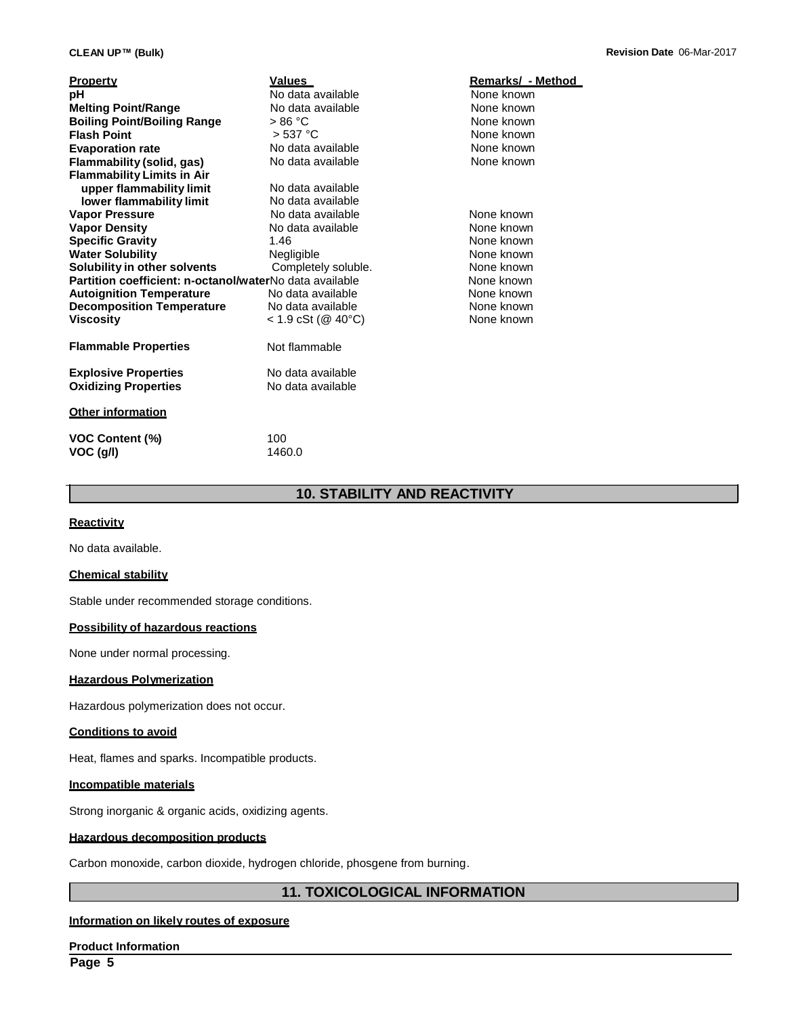| <b>Property</b>                                         | Values              |
|---------------------------------------------------------|---------------------|
| рH                                                      | No data available   |
| <b>Melting Point/Range</b>                              | No data available   |
| <b>Boiling Point/Boiling Range</b>                      | >86 °C              |
| <b>Flash Point</b>                                      | $>$ 537 °C          |
| <b>Evaporation rate</b>                                 | No data available   |
| Flammability (solid, gas)                               | No data available   |
| <b>Flammability Limits in Air</b>                       |                     |
| upper flammability limit                                | No data available   |
| lower flammability limit                                | No data available   |
| <b>Vapor Pressure</b>                                   | No data available   |
| <b>Vapor Density</b>                                    | No data available   |
| <b>Specific Gravity</b>                                 | 1.46                |
| <b>Water Solubility</b>                                 | Negligible          |
| Solubility in other solvents                            | Completely soluble. |
| Partition coefficient: n-octanol/waterNo data available |                     |
| <b>Autoignition Temperature</b>                         | No data available   |
| <b>Decomposition Temperature</b>                        | No data available   |
| Viscosity                                               | < 1.9 cSt (@ 40°C)  |
| <b>Flammable Properties</b>                             | Not flammable       |
|                                                         |                     |
| <b>Explosive Properties</b>                             | No data available   |
| <b>Oxidizing Properties</b>                             | No data available   |
|                                                         |                     |
| <b>Other information</b>                                |                     |
| <b>VOC Content (%)</b>                                  | 100                 |
| VOC (g/l)                                               | 1460.0              |

## **None known None known None known None known None known** None known **Remarks/ - Method None known None known None known**

**None known None known None known None known** 

None known None known

**10. STABILITY AND REACTIVITY**

#### **Reactivity**

No data available.

#### **Chemical stability**

Stable under recommended storage conditions.

#### **Possibility of hazardous reactions**

None under normal processing.

#### **Hazardous Polymerization**

Hazardous polymerization does not occur.

#### **Conditions to avoid**

Heat, flames and sparks. Incompatible products.

#### **Incompatible materials**

Strong inorganic & organic acids, oxidizing agents.

#### **Hazardous decomposition products**

Carbon monoxide, carbon dioxide, hydrogen chloride, phosgene from burning.

## **11. TOXICOLOGICAL INFORMATION**

#### **Information on likely routes of exposure**

**Product Information**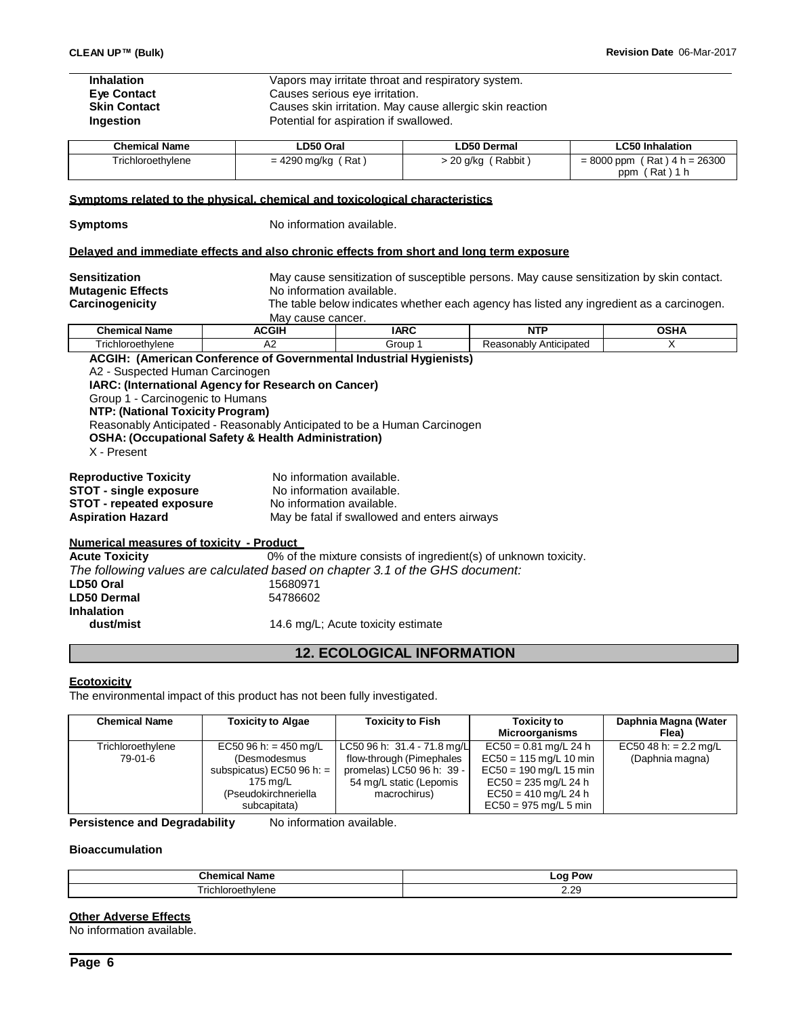| <b>Inhalation</b>                                                                        | Vapors may irritate throat and respiratory system.                       |                                                                                          |                        |                                                                                          |
|------------------------------------------------------------------------------------------|--------------------------------------------------------------------------|------------------------------------------------------------------------------------------|------------------------|------------------------------------------------------------------------------------------|
| <b>Eye Contact</b>                                                                       |                                                                          | Causes serious eye irritation.                                                           |                        |                                                                                          |
| <b>Skin Contact</b>                                                                      |                                                                          | Causes skin irritation. May cause allergic skin reaction                                 |                        |                                                                                          |
| <b>Ingestion</b>                                                                         |                                                                          | Potential for aspiration if swallowed.                                                   |                        |                                                                                          |
| <b>Chemical Name</b>                                                                     | LD50 Oral                                                                |                                                                                          | <b>LD50 Dermal</b>     | <b>LC50 Inhalation</b>                                                                   |
| Trichloroethylene                                                                        | $= 4290$ mg/kg (Rat)                                                     |                                                                                          | $>$ 20 g/kg (Rabbit)   | $= 8000$ ppm (Rat) 4 h = 26300<br>ppm (Rat) 1 h                                          |
| Symptoms related to the physical, chemical and toxicological characteristics             |                                                                          |                                                                                          |                        |                                                                                          |
| <b>Symptoms</b>                                                                          | No information available.                                                |                                                                                          |                        |                                                                                          |
| Delayed and immediate effects and also chronic effects from short and long term exposure |                                                                          |                                                                                          |                        |                                                                                          |
| <b>Sensitization</b>                                                                     |                                                                          |                                                                                          |                        | May cause sensitization of susceptible persons. May cause sensitization by skin contact. |
| <b>Mutagenic Effects</b>                                                                 | No information available.                                                |                                                                                          |                        |                                                                                          |
| Carcinogenicity                                                                          |                                                                          | The table below indicates whether each agency has listed any ingredient as a carcinogen. |                        |                                                                                          |
|                                                                                          | May cause cancer.                                                        |                                                                                          |                        |                                                                                          |
| <b>Chemical Name</b>                                                                     | <b>ACGIH</b>                                                             | <b>IARC</b>                                                                              | <b>NTP</b>             | <b>OSHA</b>                                                                              |
| Trichloroethylene                                                                        | A <sub>2</sub>                                                           | Group 1                                                                                  | Reasonably Anticipated | X                                                                                        |
|                                                                                          | ACGIH: (American Conference of Governmental Industrial Hygienists)       |                                                                                          |                        |                                                                                          |
| A2 - Suspected Human Carcinogen                                                          |                                                                          |                                                                                          |                        |                                                                                          |
| Group 1 - Carcinogenic to Humans                                                         | IARC: (International Agency for Research on Cancer)                      |                                                                                          |                        |                                                                                          |
| <b>NTP: (National Toxicity Program)</b>                                                  |                                                                          |                                                                                          |                        |                                                                                          |
|                                                                                          | Reasonably Anticipated - Reasonably Anticipated to be a Human Carcinogen |                                                                                          |                        |                                                                                          |
|                                                                                          | <b>OSHA: (Occupational Safety &amp; Health Administration)</b>           |                                                                                          |                        |                                                                                          |
| X - Present                                                                              |                                                                          |                                                                                          |                        |                                                                                          |
|                                                                                          |                                                                          |                                                                                          |                        |                                                                                          |
| <b>Reproductive Toxicity</b>                                                             | No information available.                                                |                                                                                          |                        |                                                                                          |
| STOT - single exposure                                                                   | No information available.                                                |                                                                                          |                        |                                                                                          |
| <b>STOT - repeated exposure</b>                                                          | No information available.                                                |                                                                                          |                        |                                                                                          |
| <b>Aspiration Hazard</b><br>May be fatal if swallowed and enters airways                 |                                                                          |                                                                                          |                        |                                                                                          |
| Numerical measures of toxicity - Product                                                 |                                                                          |                                                                                          |                        |                                                                                          |
| <b>Acute Toxicity</b>                                                                    |                                                                          | 0% of the mixture consists of ingredient(s) of unknown toxicity.                         |                        |                                                                                          |
| The following values are calculated based on chapter 3.1 of the GHS document:            |                                                                          |                                                                                          |                        |                                                                                          |
| LD50 Oral                                                                                | 15680971                                                                 |                                                                                          |                        |                                                                                          |
| <b>LD50 Dermal</b>                                                                       | 54786602                                                                 |                                                                                          |                        |                                                                                          |
| <b>Inhalation</b>                                                                        |                                                                          |                                                                                          |                        |                                                                                          |
| dust/mist                                                                                |                                                                          | 14.6 mg/L; Acute toxicity estimate                                                       |                        |                                                                                          |

## **12. ECOLOGICAL INFORMATION**

### **Ecotoxicity**

The environmental impact of this product has not been fully investigated.

| <b>Chemical Name</b>         | <b>Toxicity to Algae</b>                                                                                                             | <b>Toxicity to Fish</b>                                                                                                         | <b>Toxicity to</b><br><b>Microorganisms</b>                                                                                                                    | Daphnia Magna (Water<br>Flea)              |
|------------------------------|--------------------------------------------------------------------------------------------------------------------------------------|---------------------------------------------------------------------------------------------------------------------------------|----------------------------------------------------------------------------------------------------------------------------------------------------------------|--------------------------------------------|
| Trichloroethvlene<br>79-01-6 | EC50 96 h: = $450 \text{ mg/L}$<br>(Desmodesmus<br>subspicatus) $EC50$ 96 h: $=$<br>175 mg/L<br>(Pseudokirchneriella<br>subcapitata) | LC50 96 h: 31.4 - 71.8 mg/L<br>flow-through (Pimephales<br>promelas) LC50 96 h: 39 -<br>54 mg/L static (Lepomis<br>macrochirus) | $EC50 = 0.81$ mg/L 24 h<br>$EC50 = 115$ mg/L 10 min<br>$EC50 = 190$ mg/L 15 min<br>$EC50 = 235$ mg/L 24 h<br>$EC50 = 410$ mg/L 24 h<br>$EC50 = 975$ mg/L 5 min | EC50 48 h: $= 2.2$ mg/L<br>(Daphnia magna) |

**Persistence and Degradability** No information available.

#### **Bioaccumulation**

| --<br>$\sim$<br>hemic:<br><b>Name</b><br>ו ה.<br>. | . or<br><b>Pow</b><br>--<br>- - |
|----------------------------------------------------|---------------------------------|
| $\overline{\phantom{0}}$                           | $\overline{2}$                  |
| richloroethylene                                   | ں ے. ے                          |
| r <sub>1</sub>                                     |                                 |

## **Other Adverse Effects**

No information available.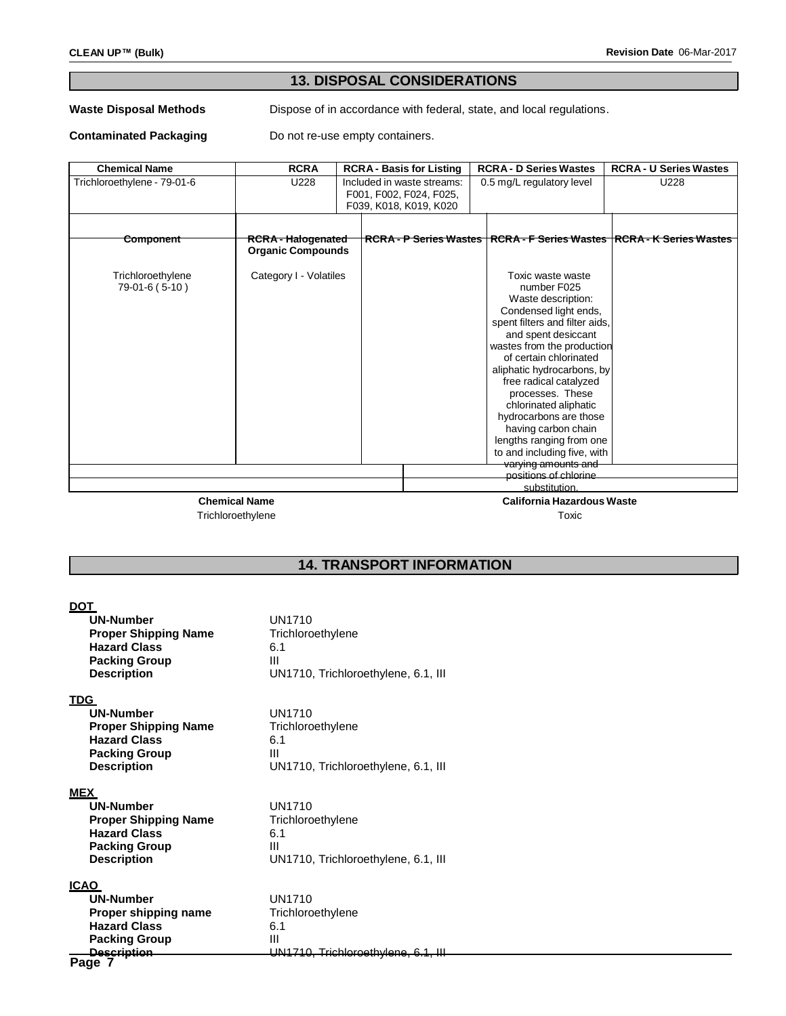## **13. DISPOSAL CONSIDERATIONS**

**Waste Disposal Methods** Dispose of in accordance with federal, state, and local regulations.

**Contaminated Packaging** Do not re-use empty containers.

| <b>Chemical Name</b>                | <b>RCRA</b>                                         |  | <b>RCRA - Basis for Listing</b>                                                 | <b>RCRA - D Series Wastes</b>                                                                                                                                                                                                                                                                                                                                                                                                            |                                   | <b>RCRA - U Series Wastes</b>                                            |
|-------------------------------------|-----------------------------------------------------|--|---------------------------------------------------------------------------------|------------------------------------------------------------------------------------------------------------------------------------------------------------------------------------------------------------------------------------------------------------------------------------------------------------------------------------------------------------------------------------------------------------------------------------------|-----------------------------------|--------------------------------------------------------------------------|
| Trichloroethylene - 79-01-6         | U228                                                |  | Included in waste streams:<br>F001, F002, F024, F025,<br>F039, K018, K019, K020 | 0.5 mg/L regulatory level                                                                                                                                                                                                                                                                                                                                                                                                                |                                   | U228                                                                     |
| <del>Component</del>                | <b>RCRA-Halogenated</b><br><b>Organic Compounds</b> |  |                                                                                 |                                                                                                                                                                                                                                                                                                                                                                                                                                          |                                   | RCRA - P Series Wastes   RCRA - F Series Wastes   RCRA - K Series Wastes |
| Trichloroethylene<br>79-01-6 (5-10) | Category I - Volatiles                              |  |                                                                                 | Toxic waste waste<br>number F025<br>Waste description:<br>Condensed light ends,<br>spent filters and filter aids,<br>and spent desiccant<br>wastes from the production<br>of certain chlorinated<br>aliphatic hydrocarbons, by<br>free radical catalyzed<br>processes. These<br>chlorinated aliphatic<br>hydrocarbons are those<br>having carbon chain<br>lengths ranging from one<br>to and including five, with<br>varying amounts and |                                   |                                                                          |
|                                     |                                                     |  |                                                                                 | positions of chlorine                                                                                                                                                                                                                                                                                                                                                                                                                    |                                   |                                                                          |
| <b>Chemical Name</b>                |                                                     |  |                                                                                 | substitution.                                                                                                                                                                                                                                                                                                                                                                                                                            | <b>California Hazardous Waste</b> |                                                                          |

Trichloroethylene Trichloroethylene

## **14. TRANSPORT INFORMATION**

| DOT.<br><b>UN-Number</b><br><b>Proper Shipping Name</b><br><b>Hazard Class</b><br><b>Packing Group</b><br><b>Description</b>           | <b>UN1710</b><br>Trichloroethylene<br>6.1<br>Ш<br>UN1710, Trichloroethylene, 6.1, III |
|----------------------------------------------------------------------------------------------------------------------------------------|---------------------------------------------------------------------------------------|
| TDG.<br><b>UN-Number</b><br><b>Proper Shipping Name</b><br><b>Hazard Class</b><br><b>Packing Group</b><br><b>Description</b>           | UN1710<br>Trichloroethylene<br>6.1<br>Ш<br>UN1710, Trichloroethylene, 6.1, III        |
| <b>MEX</b><br><b>UN-Number</b><br><b>Proper Shipping Name</b><br><b>Hazard Class</b><br><b>Packing Group</b><br><b>Description</b>     | UN1710<br>Trichloroethylene<br>6.1<br>Ш<br>UN1710, Trichloroethylene, 6.1, III        |
| <u>ICAO</u><br><b>UN-Number</b><br>Proper shipping name<br><b>Hazard Class</b><br><b>Packing Group</b><br><b>Description</b><br>Page 7 | UN1710<br>Trichloroethylene<br>6.1<br>Ш<br>UN1710. Trichloroethylene, 6.1. III        |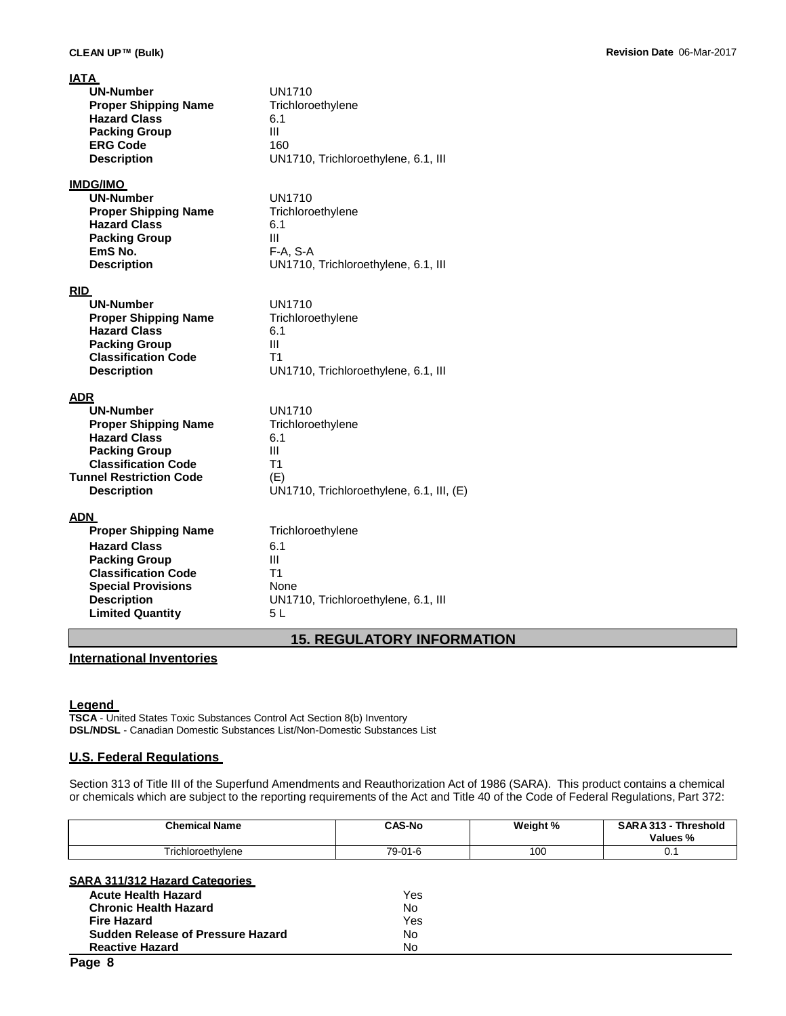| <b>IATA</b><br><b>UN-Number</b><br><b>Proper Shipping Name</b><br><b>Hazard Class</b><br><b>Packing Group</b><br><b>ERG Code</b><br><b>Description</b>                                               | UN1710<br>Trichloroethylene<br>6.1<br>Ш<br>160<br>UN1710, Trichloroethylene, 6.1, III                 |
|------------------------------------------------------------------------------------------------------------------------------------------------------------------------------------------------------|-------------------------------------------------------------------------------------------------------|
| <b>IMDG/IMO</b><br><b>UN-Number</b><br><b>Proper Shipping Name</b><br><b>Hazard Class</b><br><b>Packing Group</b><br>EmS No.<br><b>Description</b>                                                   | UN1710<br>Trichloroethylene<br>6.1<br>Ш<br>$F-A. S-A$<br>UN1710, Trichloroethylene, 6.1, III          |
| <b>RID</b><br><b>UN-Number</b><br><b>Proper Shipping Name</b><br><b>Hazard Class</b><br><b>Packing Group</b><br><b>Classification Code</b><br><b>Description</b>                                     | UN1710<br>Trichloroethylene<br>6.1<br>Ш<br>T1<br>UN1710, Trichloroethylene, 6.1, III                  |
| <b>ADR</b><br><b>UN-Number</b><br><b>Proper Shipping Name</b><br><b>Hazard Class</b><br><b>Packing Group</b><br><b>Classification Code</b><br><b>Tunnel Restriction Code</b><br><b>Description</b>   | UN1710<br>Trichloroethylene<br>6.1<br>Ш<br>T1<br>(E)<br>UN1710, Trichloroethylene, 6.1, III, (E)      |
| <u>ADN</u><br><b>Proper Shipping Name</b><br><b>Hazard Class</b><br><b>Packing Group</b><br><b>Classification Code</b><br><b>Special Provisions</b><br><b>Description</b><br><b>Limited Quantity</b> | Trichloroethylene<br>6.1<br>Ш<br>T <sub>1</sub><br>None<br>UN1710, Trichloroethylene, 6.1, III<br>5 L |

## **15. REGULATORY INFORMATION**

### **International Inventories**

#### **Legend**

**TSCA** - United States Toxic Substances Control Act Section 8(b) Inventory **DSL/NDSL** - Canadian Domestic Substances List/Non-Domestic Substances List

**Reactive Hazard** No

#### **U.S. Federal Regulations**

Section 313 of Title III of the Superfund Amendments and Reauthorization Act of 1986 (SARA). This product contains a chemical or chemicals which are subject to the reporting requirements of the Act and Title 40 of the Code of Federal Regulations, Part 372:

| <b>Chemical Name</b>                                                                                                                                                  | <b>CAS-No</b>          | Weight % | SARA 313 - Threshold<br>Values % |
|-----------------------------------------------------------------------------------------------------------------------------------------------------------------------|------------------------|----------|----------------------------------|
| Trichloroethvlene                                                                                                                                                     | 79-01-6                | 100      | 0.1                              |
| <b>SARA 311/312 Hazard Categories</b><br><b>Acute Health Hazard</b><br><b>Chronic Health Hazard</b><br><b>Fire Hazard</b><br><b>Sudden Release of Pressure Hazard</b> | Yes<br>No<br>Yes<br>No |          |                                  |